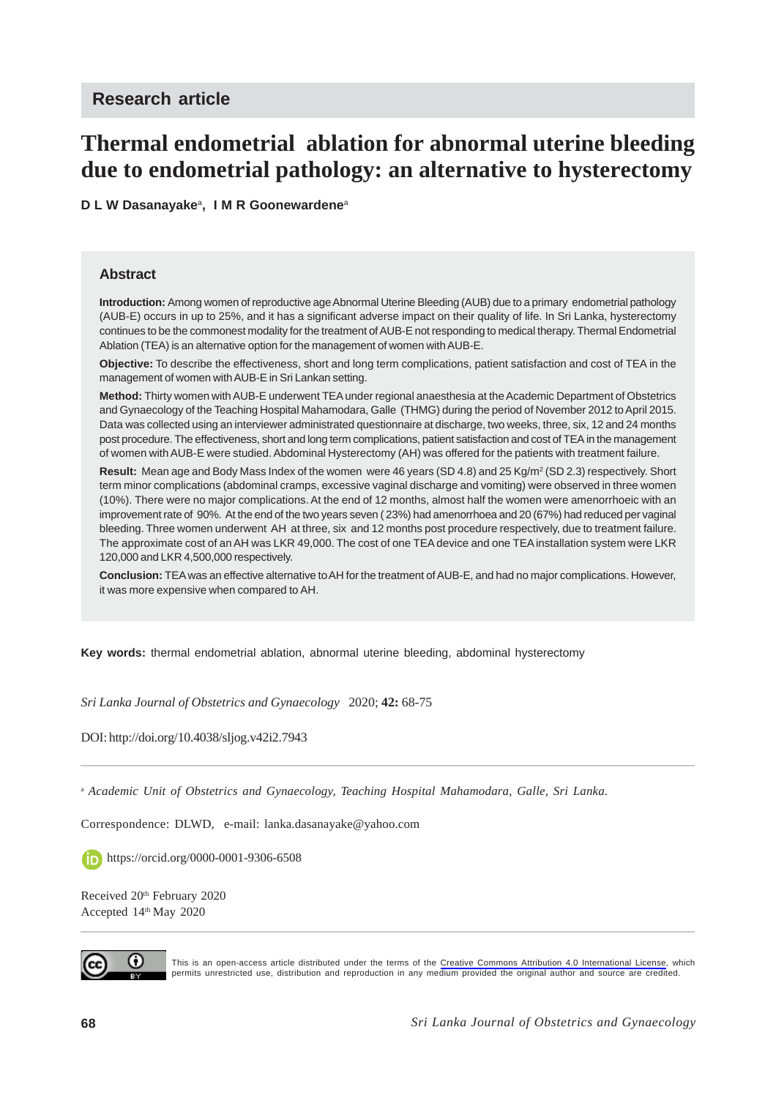# **Thermal endometrial ablation for abnormal uterine bleeding due to endometrial pathology: an alternative to hysterectomy**

**D L W Dasanayake**a**, I M R Goonewardene**<sup>a</sup>

#### **Abstract**

**Introduction:** Among women of reproductive age Abnormal Uterine Bleeding (AUB) due to a primary endometrial pathology (AUB-E) occurs in up to 25%, and it has a significant adverse impact on their quality of life. In Sri Lanka, hysterectomy continues to be the commonest modality for the treatment of AUB-E not responding to medical therapy. Thermal Endometrial Ablation (TEA) is an alternative option for the management of women with AUB-E.

**Objective:** To describe the effectiveness, short and long term complications, patient satisfaction and cost of TEA in the management of women with AUB-E in Sri Lankan setting.

**Method:** Thirty women with AUB-E underwent TEA under regional anaesthesia at the Academic Department of Obstetrics and Gynaecology of the Teaching Hospital Mahamodara, Galle (THMG) during the period of November 2012 to April 2015. Data was collected using an interviewer administrated questionnaire at discharge, two weeks, three, six, 12 and 24 months post procedure. The effectiveness, short and long term complications, patient satisfaction and cost of TEA in the management of women with AUB-E were studied. Abdominal Hysterectomy (AH) was offered for the patients with treatment failure.

**Result:** Mean age and Body Mass Index of the women were 46 years (SD 4.8) and 25 Kg/m2 (SD 2.3) respectively. Short term minor complications (abdominal cramps, excessive vaginal discharge and vomiting) were observed in three women (10%). There were no major complications. At the end of 12 months, almost half the women were amenorrhoeic with an improvement rate of 90%. At the end of the two years seven ( 23%) had amenorrhoea and 20 (67%) had reduced per vaginal bleeding. Three women underwent AH at three, six and 12 months post procedure respectively, due to treatment failure. The approximate cost of an AH was LKR 49,000. The cost of one TEA device and one TEA installation system were LKR 120,000 and LKR 4,500,000 respectively.

**Conclusion:** TEA was an effective alternative to AH for the treatment of AUB-E, and had no major complications. However, it was more expensive when compared to AH.

**Key words:** thermal endometrial ablation, abnormal uterine bleeding, abdominal hysterectomy

*Sri Lanka Journal of Obstetrics and Gynaecology* 2020; **42:** 68-75

DOI: http://doi.org/10.4038/sljog.v42i2.7943

<sup>a</sup> *Academic Unit of Obstetrics and Gynaecology, Teaching Hospital Mahamodara, Galle, Sri Lanka.*

Correspondence: DLWD, e-mail: lanka.dasanayake@yahoo.com

https://orcid.org/0000-0001-9306-6508

Received 20<sup>th</sup> February 2020 Accepted 14<sup>th</sup> May 2020



This is an open-access article distributed under the terms of the [Creative Commons Attribution 4.0 International License,](https://creativecommons.org/licenses/by/4.0/) which permits unrestricted use, distribution and reproduction in any medium provided the original author and source are credited.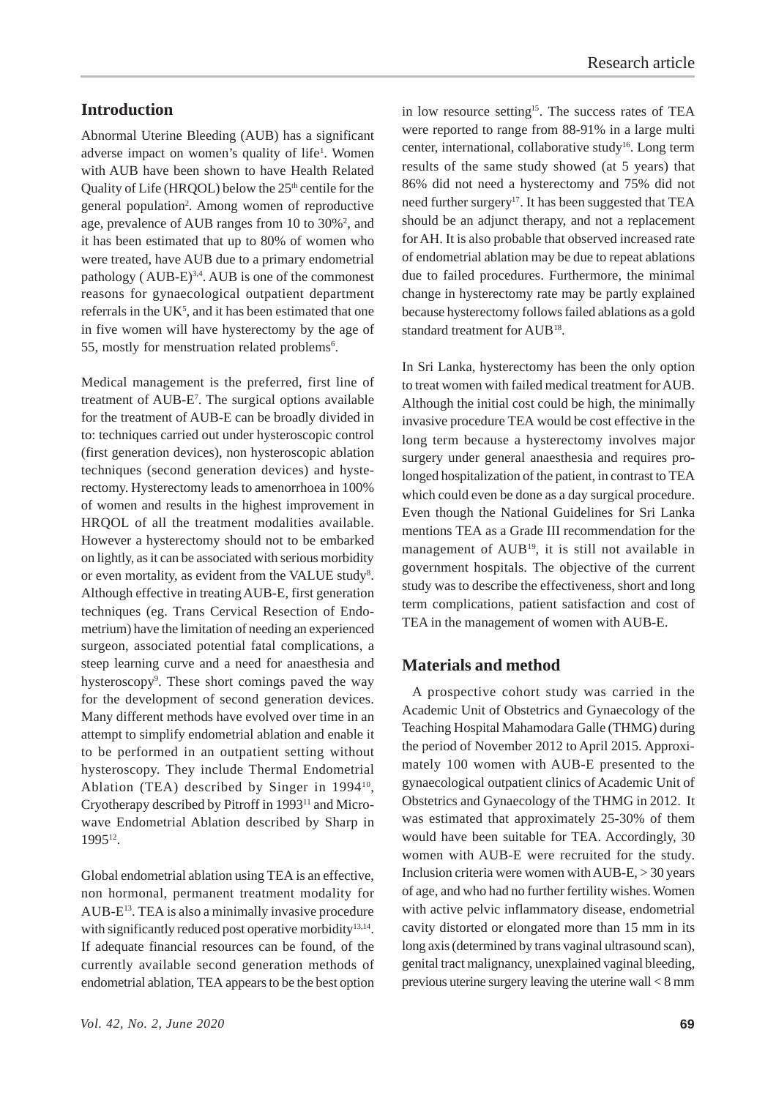# **Introduction**

Abnormal Uterine Bleeding (AUB) has a significant adverse impact on women's quality of life<sup>1</sup>. Women with AUB have been shown to have Health Related Quality of Life (HRQOL) below the  $25<sup>th</sup>$  centile for the general population<sup>2</sup>. Among women of reproductive age, prevalence of AUB ranges from 10 to 30%<sup>2</sup>, and it has been estimated that up to 80% of women who were treated, have AUB due to a primary endometrial pathology ( $AUB-E$ )<sup>3,4</sup>. AUB is one of the commonest reasons for gynaecological outpatient department referrals in the UK<sup>5</sup>, and it has been estimated that one in five women will have hysterectomy by the age of 55, mostly for menstruation related problems<sup>6</sup>.

Medical management is the preferred, first line of treatment of AUB-E7 . The surgical options available for the treatment of AUB-E can be broadly divided in to: techniques carried out under hysteroscopic control (first generation devices), non hysteroscopic ablation techniques (second generation devices) and hysterectomy. Hysterectomy leads to amenorrhoea in 100% of women and results in the highest improvement in HRQOL of all the treatment modalities available. However a hysterectomy should not to be embarked on lightly, as it can be associated with serious morbidity or even mortality, as evident from the VALUE study<sup>8</sup>. Although effective in treating AUB-E, first generation techniques (eg. Trans Cervical Resection of Endometrium) have the limitation of needing an experienced surgeon, associated potential fatal complications, a steep learning curve and a need for anaesthesia and hysteroscopy<sup>9</sup>. These short comings paved the way for the development of second generation devices. Many different methods have evolved over time in an attempt to simplify endometrial ablation and enable it to be performed in an outpatient setting without hysteroscopy. They include Thermal Endometrial Ablation (TEA) described by Singer in 1994<sup>10</sup>, Cryotherapy described by Pitroff in 199311 and Microwave Endometrial Ablation described by Sharp in 199512.

Global endometrial ablation using TEA is an effective, non hormonal, permanent treatment modality for AUB-E13. TEA is also a minimally invasive procedure with significantly reduced post operative morbidity<sup>13,14</sup>. If adequate financial resources can be found, of the currently available second generation methods of endometrial ablation, TEA appears to be the best option in low resource setting<sup>15</sup>. The success rates of TEA were reported to range from 88-91% in a large multi center, international, collaborative study<sup>16</sup>. Long term results of the same study showed (at 5 years) that 86% did not need a hysterectomy and 75% did not need further surgery<sup>17</sup>. It has been suggested that TEA should be an adjunct therapy, and not a replacement for AH. It is also probable that observed increased rate of endometrial ablation may be due to repeat ablations due to failed procedures. Furthermore, the minimal change in hysterectomy rate may be partly explained because hysterectomy follows failed ablations as a gold standard treatment for AUB<sup>18</sup>.

In Sri Lanka, hysterectomy has been the only option to treat women with failed medical treatment for AUB. Although the initial cost could be high, the minimally invasive procedure TEA would be cost effective in the long term because a hysterectomy involves major surgery under general anaesthesia and requires prolonged hospitalization of the patient, in contrast to TEA which could even be done as a day surgical procedure. Even though the National Guidelines for Sri Lanka mentions TEA as a Grade III recommendation for the management of AUB<sup>19</sup>, it is still not available in government hospitals. The objective of the current study was to describe the effectiveness, short and long term complications, patient satisfaction and cost of TEA in the management of women with AUB-E.

#### **Materials and method**

 A prospective cohort study was carried in the Academic Unit of Obstetrics and Gynaecology of the Teaching Hospital Mahamodara Galle (THMG) during the period of November 2012 to April 2015. Approximately 100 women with AUB-E presented to the gynaecological outpatient clinics of Academic Unit of Obstetrics and Gynaecology of the THMG in 2012. It was estimated that approximately 25-30% of them would have been suitable for TEA. Accordingly, 30 women with AUB-E were recruited for the study. Inclusion criteria were women with AUB-E, > 30 years of age, and who had no further fertility wishes. Women with active pelvic inflammatory disease, endometrial cavity distorted or elongated more than 15 mm in its long axis (determined by trans vaginal ultrasound scan), genital tract malignancy, unexplained vaginal bleeding, previous uterine surgery leaving the uterine wall < 8 mm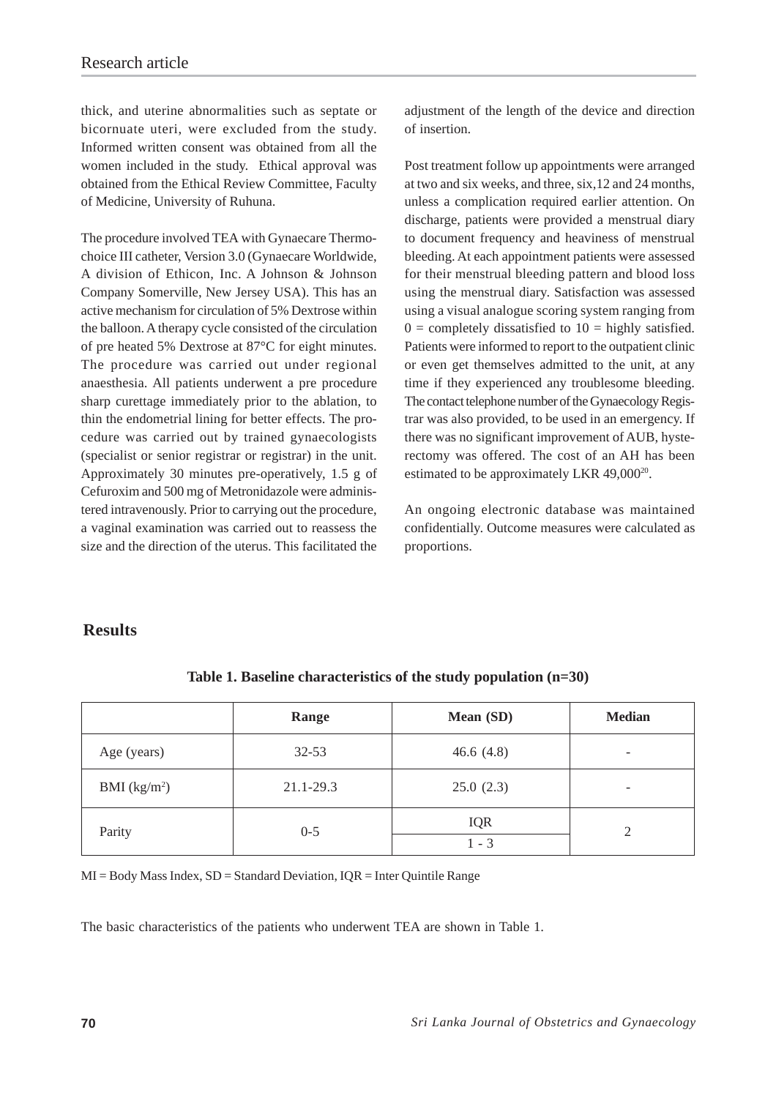thick, and uterine abnormalities such as septate or bicornuate uteri, were excluded from the study. Informed written consent was obtained from all the women included in the study. Ethical approval was obtained from the Ethical Review Committee, Faculty of Medicine, University of Ruhuna.

The procedure involved TEA with Gynaecare Thermochoice III catheter, Version 3.0 (Gynaecare Worldwide, A division of Ethicon, Inc. A Johnson & Johnson Company Somerville, New Jersey USA). This has an active mechanism for circulation of 5% Dextrose within the balloon. A therapy cycle consisted of the circulation of pre heated 5% Dextrose at 87°C for eight minutes. The procedure was carried out under regional anaesthesia. All patients underwent a pre procedure sharp curettage immediately prior to the ablation, to thin the endometrial lining for better effects. The procedure was carried out by trained gynaecologists (specialist or senior registrar or registrar) in the unit. Approximately 30 minutes pre-operatively, 1.5 g of Cefuroxim and 500 mg of Metronidazole were administered intravenously. Prior to carrying out the procedure, a vaginal examination was carried out to reassess the size and the direction of the uterus. This facilitated the

adjustment of the length of the device and direction of insertion.

Post treatment follow up appointments were arranged at two and six weeks, and three, six,12 and 24 months, unless a complication required earlier attention. On discharge, patients were provided a menstrual diary to document frequency and heaviness of menstrual bleeding. At each appointment patients were assessed for their menstrual bleeding pattern and blood loss using the menstrual diary. Satisfaction was assessed using a visual analogue scoring system ranging from  $0 =$  completely dissatisfied to  $10 =$  highly satisfied. Patients were informed to report to the outpatient clinic or even get themselves admitted to the unit, at any time if they experienced any troublesome bleeding. The contact telephone number of the Gynaecology Registrar was also provided, to be used in an emergency. If there was no significant improvement of AUB, hysterectomy was offered. The cost of an AH has been estimated to be approximately LKR 49,000<sup>20</sup>.

An ongoing electronic database was maintained confidentially. Outcome measures were calculated as proportions.

### **Results**

|                          | Range     | Mean (SD)             | <b>Median</b>            |
|--------------------------|-----------|-----------------------|--------------------------|
| Age (years)              | $32 - 53$ | 46.6 $(4.8)$          | $\overline{\phantom{0}}$ |
| BMI (kg/m <sup>2</sup> ) | 21.1-29.3 | 25.0(2.3)             | $\overline{\phantom{0}}$ |
| Parity                   | $0 - 5$   | <b>IQR</b><br>$1 - 3$ | $\mathfrak{D}$           |

**Table 1. Baseline characteristics of the study population (n=30)**

 $MI = Body Mass Index, SD = Standard Deviation, IQR = Inter Quintile Range$ 

The basic characteristics of the patients who underwent TEA are shown in Table 1.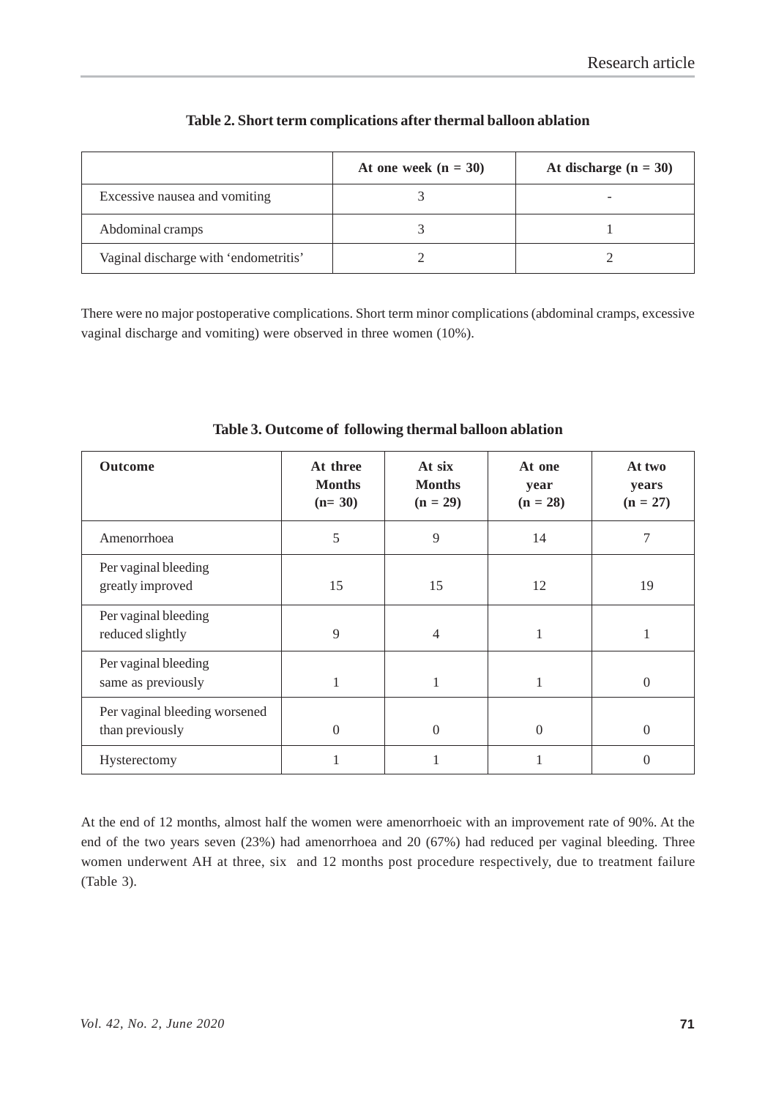|                                       | At one week $(n = 30)$ | At discharge $(n = 30)$ |
|---------------------------------------|------------------------|-------------------------|
| Excessive nausea and vomiting         |                        |                         |
| Abdominal cramps                      |                        |                         |
| Vaginal discharge with 'endometritis' |                        |                         |

#### **Table 2. Short term complications after thermal balloon ablation**

There were no major postoperative complications. Short term minor complications (abdominal cramps, excessive vaginal discharge and vomiting) were observed in three women (10%).

| <b>Outcome</b>                                   | At three<br><b>Months</b><br>$(n=30)$ | At six<br><b>Months</b><br>$(n = 29)$ | At one<br>year<br>$(n = 28)$ | At two<br>years<br>$(n = 27)$ |
|--------------------------------------------------|---------------------------------------|---------------------------------------|------------------------------|-------------------------------|
| Amenorrhoea                                      | 5                                     | 9                                     | 14                           | 7                             |
| Per vaginal bleeding<br>greatly improved         | 15                                    | 15                                    | 12                           | 19                            |
| Per vaginal bleeding<br>reduced slightly         | 9                                     | 4                                     |                              |                               |
| Per vaginal bleeding<br>same as previously       | 1                                     |                                       |                              | $\theta$                      |
| Per vaginal bleeding worsened<br>than previously | $\theta$                              | $\Omega$                              | $\theta$                     | $\Omega$                      |
| Hysterectomy                                     | 1                                     |                                       |                              | 0                             |

**Table 3. Outcome of following thermal balloon ablation**

At the end of 12 months, almost half the women were amenorrhoeic with an improvement rate of 90%. At the end of the two years seven (23%) had amenorrhoea and 20 (67%) had reduced per vaginal bleeding. Three women underwent AH at three, six and 12 months post procedure respectively, due to treatment failure (Table 3).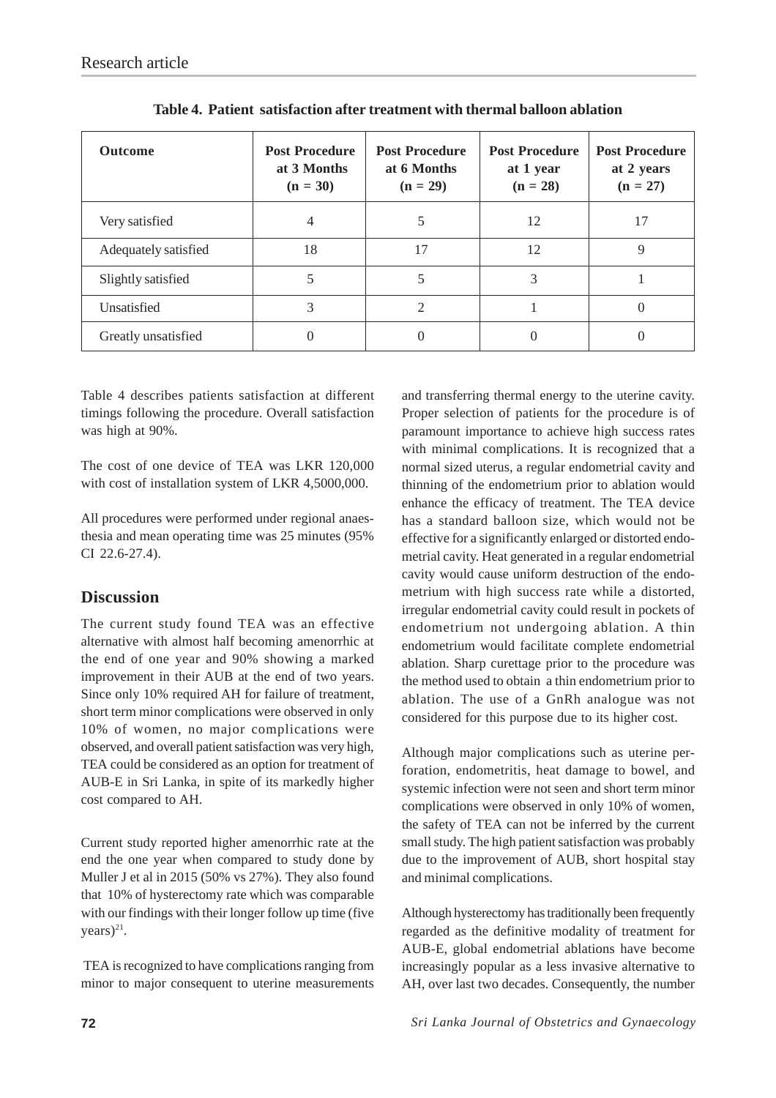| <b>Outcome</b>       | <b>Post Procedure</b><br>at 3 Months<br>$(n = 30)$ | <b>Post Procedure</b><br>at 6 Months<br>$(n = 29)$ | <b>Post Procedure</b><br>at 1 year<br>$(n = 28)$ | <b>Post Procedure</b><br>at 2 years<br>$(n = 27)$ |
|----------------------|----------------------------------------------------|----------------------------------------------------|--------------------------------------------------|---------------------------------------------------|
| Very satisfied       |                                                    |                                                    | 12                                               | 17                                                |
| Adequately satisfied | 18                                                 | 17                                                 | 12                                               | 9                                                 |
| Slightly satisfied   |                                                    |                                                    | 3                                                |                                                   |
| Unsatisfied          | 3                                                  | $\mathcal{D}$                                      |                                                  |                                                   |
| Greatly unsatisfied  | 0                                                  |                                                    |                                                  |                                                   |

**Table 4. Patient satisfaction after treatment with thermal balloon ablation**

Table 4 describes patients satisfaction at different timings following the procedure. Overall satisfaction was high at 90%.

The cost of one device of TEA was LKR 120,000 with cost of installation system of LKR 4,5000,000.

All procedures were performed under regional anaesthesia and mean operating time was 25 minutes (95% CI 22.6-27.4).

# **Discussion**

The current study found TEA was an effective alternative with almost half becoming amenorrhic at the end of one year and 90% showing a marked improvement in their AUB at the end of two years. Since only 10% required AH for failure of treatment, short term minor complications were observed in only 10% of women, no major complications were observed, and overall patient satisfaction was very high, TEA could be considered as an option for treatment of AUB-E in Sri Lanka, in spite of its markedly higher cost compared to AH.

Current study reported higher amenorrhic rate at the end the one year when compared to study done by Muller J et al in 2015 (50% vs 27%). They also found that 10% of hysterectomy rate which was comparable with our findings with their longer follow up time (five  $years)^{21}$ .

 TEA is recognized to have complications ranging from minor to major consequent to uterine measurements

and transferring thermal energy to the uterine cavity. Proper selection of patients for the procedure is of paramount importance to achieve high success rates with minimal complications. It is recognized that a normal sized uterus, a regular endometrial cavity and thinning of the endometrium prior to ablation would enhance the efficacy of treatment. The TEA device has a standard balloon size, which would not be effective for a significantly enlarged or distorted endometrial cavity. Heat generated in a regular endometrial cavity would cause uniform destruction of the endometrium with high success rate while a distorted, irregular endometrial cavity could result in pockets of endometrium not undergoing ablation. A thin endometrium would facilitate complete endometrial ablation. Sharp curettage prior to the procedure was the method used to obtain a thin endometrium prior to ablation. The use of a GnRh analogue was not considered for this purpose due to its higher cost.

Although major complications such as uterine perforation, endometritis, heat damage to bowel, and systemic infection were not seen and short term minor complications were observed in only 10% of women, the safety of TEA can not be inferred by the current small study. The high patient satisfaction was probably due to the improvement of AUB, short hospital stay and minimal complications.

Although hysterectomy has traditionally been frequently regarded as the definitive modality of treatment for AUB-E, global endometrial ablations have become increasingly popular as a less invasive alternative to AH, over last two decades. Consequently, the number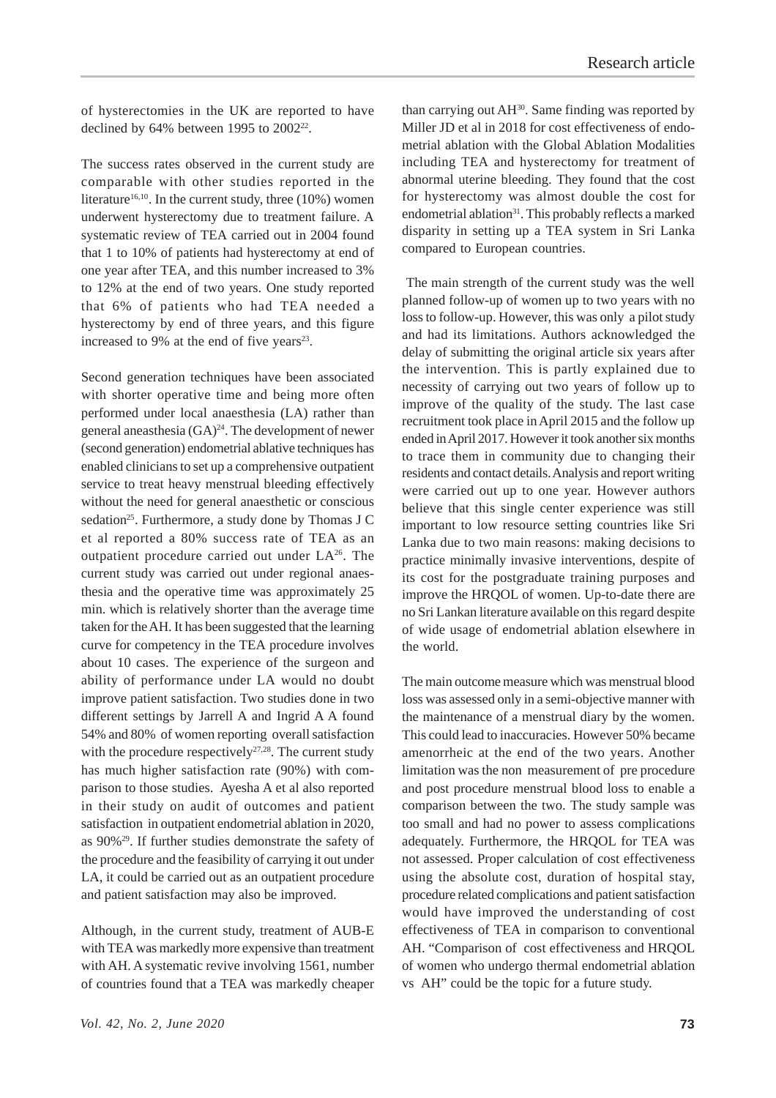of hysterectomies in the UK are reported to have declined by  $64\%$  between 1995 to  $2002^{22}$ .

The success rates observed in the current study are comparable with other studies reported in the literature<sup>16,10</sup>. In the current study, three  $(10\%)$  women underwent hysterectomy due to treatment failure. A systematic review of TEA carried out in 2004 found that 1 to 10% of patients had hysterectomy at end of one year after TEA, and this number increased to 3% to 12% at the end of two years. One study reported that 6% of patients who had TEA needed a hysterectomy by end of three years, and this figure increased to 9% at the end of five years $^{23}$ .

Second generation techniques have been associated with shorter operative time and being more often performed under local anaesthesia (LA) rather than general aneasthesia  $(GA)^{24}$ . The development of newer (second generation) endometrial ablative techniques has enabled clinicians to set up a comprehensive outpatient service to treat heavy menstrual bleeding effectively without the need for general anaesthetic or conscious sedation<sup>25</sup>. Furthermore, a study done by Thomas J C et al reported a 80% success rate of TEA as an outpatient procedure carried out under  $LA<sup>26</sup>$ . The current study was carried out under regional anaesthesia and the operative time was approximately 25 min. which is relatively shorter than the average time taken for the AH. It has been suggested that the learning curve for competency in the TEA procedure involves about 10 cases. The experience of the surgeon and ability of performance under LA would no doubt improve patient satisfaction. Two studies done in two different settings by Jarrell A and Ingrid A A found 54% and 80% of women reporting overall satisfaction with the procedure respectively<sup>27,28</sup>. The current study has much higher satisfaction rate (90%) with comparison to those studies. Ayesha A et al also reported in their study on audit of outcomes and patient satisfaction in outpatient endometrial ablation in 2020, as 90%29. If further studies demonstrate the safety of the procedure and the feasibility of carrying it out under LA, it could be carried out as an outpatient procedure and patient satisfaction may also be improved.

Although, in the current study, treatment of AUB-E with TEA was markedly more expensive than treatment with AH. A systematic revive involving 1561, number of countries found that a TEA was markedly cheaper

than carrying out AH<sup>30</sup>. Same finding was reported by Miller JD et al in 2018 for cost effectiveness of endometrial ablation with the Global Ablation Modalities including TEA and hysterectomy for treatment of abnormal uterine bleeding. They found that the cost for hysterectomy was almost double the cost for endometrial ablation<sup>31</sup>. This probably reflects a marked disparity in setting up a TEA system in Sri Lanka compared to European countries.

 The main strength of the current study was the well planned follow-up of women up to two years with no loss to follow-up. However, this was only a pilot study and had its limitations. Authors acknowledged the delay of submitting the original article six years after the intervention. This is partly explained due to necessity of carrying out two years of follow up to improve of the quality of the study. The last case recruitment took place in April 2015 and the follow up ended in April 2017. However it took another six months to trace them in community due to changing their residents and contact details. Analysis and report writing were carried out up to one year. However authors believe that this single center experience was still important to low resource setting countries like Sri Lanka due to two main reasons: making decisions to practice minimally invasive interventions, despite of its cost for the postgraduate training purposes and improve the HRQOL of women. Up-to-date there are no Sri Lankan literature available on this regard despite of wide usage of endometrial ablation elsewhere in the world.

The main outcome measure which was menstrual blood loss was assessed only in a semi-objective manner with the maintenance of a menstrual diary by the women. This could lead to inaccuracies. However 50% became amenorrheic at the end of the two years. Another limitation was the non measurement of pre procedure and post procedure menstrual blood loss to enable a comparison between the two. The study sample was too small and had no power to assess complications adequately. Furthermore, the HRQOL for TEA was not assessed. Proper calculation of cost effectiveness using the absolute cost, duration of hospital stay, procedure related complications and patient satisfaction would have improved the understanding of cost effectiveness of TEA in comparison to conventional AH. "Comparison of cost effectiveness and HRQOL of women who undergo thermal endometrial ablation vs AH" could be the topic for a future study.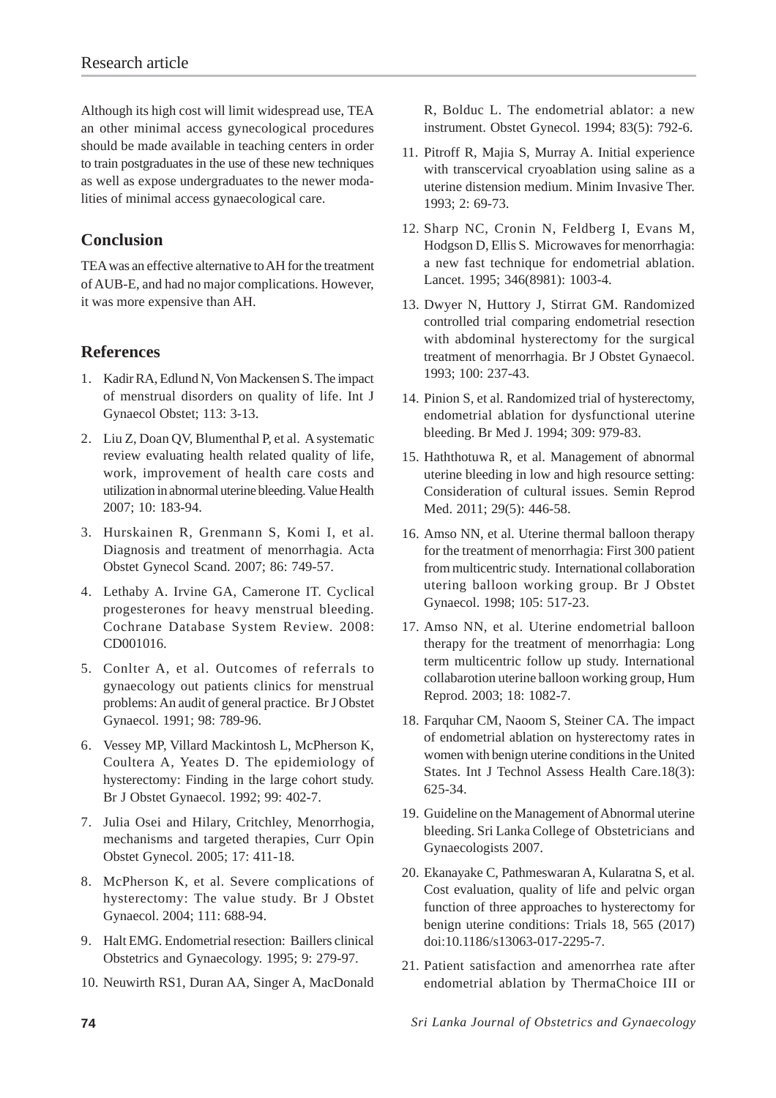Although its high cost will limit widespread use, TEA an other minimal access gynecological procedures should be made available in teaching centers in order to train postgraduates in the use of these new techniques as well as expose undergraduates to the newer modalities of minimal access gynaecological care.

# **Conclusion**

TEA was an effective alternative to AH for the treatment of AUB-E, and had no major complications. However, it was more expensive than AH.

### **References**

- 1. Kadir RA, Edlund N, Von Mackensen S. The impact of menstrual disorders on quality of life. Int J Gynaecol Obstet; 113: 3-13.
- 2. Liu Z, Doan QV, Blumenthal P, et al. A systematic review evaluating health related quality of life, work, improvement of health care costs and utilization in abnormal uterine bleeding. Value Health 2007; 10: 183-94.
- 3. Hurskainen R, Grenmann S, Komi I, et al. Diagnosis and treatment of menorrhagia. Acta Obstet Gynecol Scand. 2007; 86: 749-57.
- 4. Lethaby A. Irvine GA, Camerone IT. Cyclical progesterones for heavy menstrual bleeding. Cochrane Database System Review. 2008: CD001016.
- 5. Conlter A, et al. Outcomes of referrals to gynaecology out patients clinics for menstrual problems: An audit of general practice. Br J Obstet Gynaecol. 1991; 98: 789-96.
- 6. Vessey MP, Villard Mackintosh L, McPherson K, Coultera A, Yeates D. The epidemiology of hysterectomy: Finding in the large cohort study. Br J Obstet Gynaecol. 1992; 99: 402-7.
- 7. Julia Osei and Hilary, Critchley, Menorrhogia, mechanisms and targeted therapies, Curr Opin Obstet Gynecol. 2005; 17: 411-18.
- 8. McPherson K, et al. Severe complications of hysterectomy: The value study. Br J Obstet Gynaecol. 2004; 111: 688-94.
- 9. Halt EMG. Endometrial resection: Baillers clinical Obstetrics and Gynaecology. 1995; 9: 279-97.
- 10. Neuwirth RS1, Duran AA, Singer A, MacDonald

R, Bolduc L. The endometrial ablator: a new instrument. Obstet Gynecol. 1994; 83(5): 792-6.

- 11. Pitroff R, Majia S, Murray A. Initial experience with transcervical cryoablation using saline as a uterine distension medium. Minim Invasive Ther. 1993; 2: 69-73.
- 12. Sharp NC, Cronin N, Feldberg I, Evans M, Hodgson D, Ellis S. Microwaves for menorrhagia: a new fast technique for endometrial ablation. Lancet. 1995; 346(8981): 1003-4.
- 13. Dwyer N, Huttory J, Stirrat GM. Randomized controlled trial comparing endometrial resection with abdominal hysterectomy for the surgical treatment of menorrhagia. Br J Obstet Gynaecol. 1993; 100: 237-43.
- 14. Pinion S, et al. Randomized trial of hysterectomy, endometrial ablation for dysfunctional uterine bleeding. Br Med J. 1994; 309: 979-83.
- 15. Haththotuwa R, et al. Management of abnormal uterine bleeding in low and high resource setting: Consideration of cultural issues. Semin Reprod Med. 2011; 29(5): 446-58.
- 16. Amso NN, et al. Uterine thermal balloon therapy for the treatment of menorrhagia: First 300 patient from multicentric study. International collaboration utering balloon working group. Br J Obstet Gynaecol. 1998; 105: 517-23.
- 17. Amso NN, et al. Uterine endometrial balloon therapy for the treatment of menorrhagia: Long term multicentric follow up study. International collabarotion uterine balloon working group, Hum Reprod. 2003; 18: 1082-7.
- 18. Farquhar CM, Naoom S, Steiner CA. The impact of endometrial ablation on hysterectomy rates in women with benign uterine conditions in the United States. Int J Technol Assess Health Care.18(3): 625-34.
- 19. Guideline on the Management of Abnormal uterine bleeding. Sri Lanka College of Obstetricians and Gynaecologists 2007.
- 20. Ekanayake C, Pathmeswaran A, Kularatna S, et al. Cost evaluation, quality of life and pelvic organ function of three approaches to hysterectomy for benign uterine conditions: Trials 18, 565 (2017) doi:10.1186/s13063-017-2295-7.
- 21. Patient satisfaction and amenorrhea rate after endometrial ablation by ThermaChoice III or